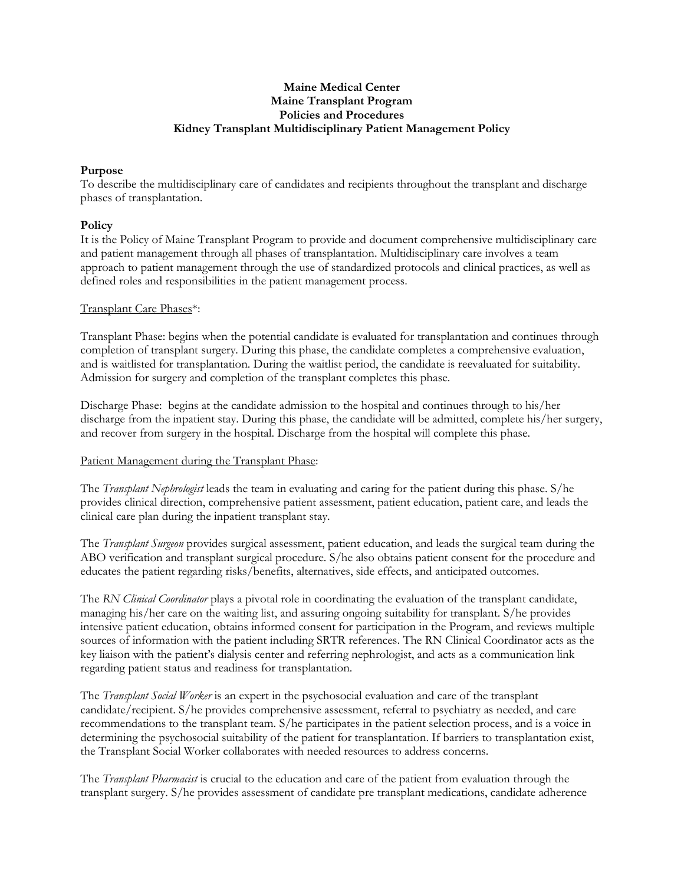## **Maine Medical Center Maine Transplant Program Policies and Procedures Kidney Transplant Multidisciplinary Patient Management Policy**

#### **Purpose**

To describe the multidisciplinary care of candidates and recipients throughout the transplant and discharge phases of transplantation.

## **Policy**

It is the Policy of Maine Transplant Program to provide and document comprehensive multidisciplinary care and patient management through all phases of transplantation. Multidisciplinary care involves a team approach to patient management through the use of standardized protocols and clinical practices, as well as defined roles and responsibilities in the patient management process.

## Transplant Care Phases\*:

Transplant Phase: begins when the potential candidate is evaluated for transplantation and continues through completion of transplant surgery. During this phase, the candidate completes a comprehensive evaluation, and is waitlisted for transplantation. During the waitlist period, the candidate is reevaluated for suitability. Admission for surgery and completion of the transplant completes this phase.

Discharge Phase: begins at the candidate admission to the hospital and continues through to his/her discharge from the inpatient stay. During this phase, the candidate will be admitted, complete his/her surgery, and recover from surgery in the hospital. Discharge from the hospital will complete this phase.

# Patient Management during the Transplant Phase:

The *Transplant Nephrologist* leads the team in evaluating and caring for the patient during this phase. S/he provides clinical direction, comprehensive patient assessment, patient education, patient care, and leads the clinical care plan during the inpatient transplant stay.

The *Transplant Surgeon* provides surgical assessment, patient education, and leads the surgical team during the ABO verification and transplant surgical procedure. S/he also obtains patient consent for the procedure and educates the patient regarding risks/benefits, alternatives, side effects, and anticipated outcomes.

The *RN Clinical Coordinator* plays a pivotal role in coordinating the evaluation of the transplant candidate, managing his/her care on the waiting list, and assuring ongoing suitability for transplant. S/he provides intensive patient education, obtains informed consent for participation in the Program, and reviews multiple sources of information with the patient including SRTR references. The RN Clinical Coordinator acts as the key liaison with the patient's dialysis center and referring nephrologist, and acts as a communication link regarding patient status and readiness for transplantation.

The *Transplant Social Worker* is an expert in the psychosocial evaluation and care of the transplant candidate/recipient. S/he provides comprehensive assessment, referral to psychiatry as needed, and care recommendations to the transplant team. S/he participates in the patient selection process, and is a voice in determining the psychosocial suitability of the patient for transplantation. If barriers to transplantation exist, the Transplant Social Worker collaborates with needed resources to address concerns.

The *Transplant Pharmacist* is crucial to the education and care of the patient from evaluation through the transplant surgery. S/he provides assessment of candidate pre transplant medications, candidate adherence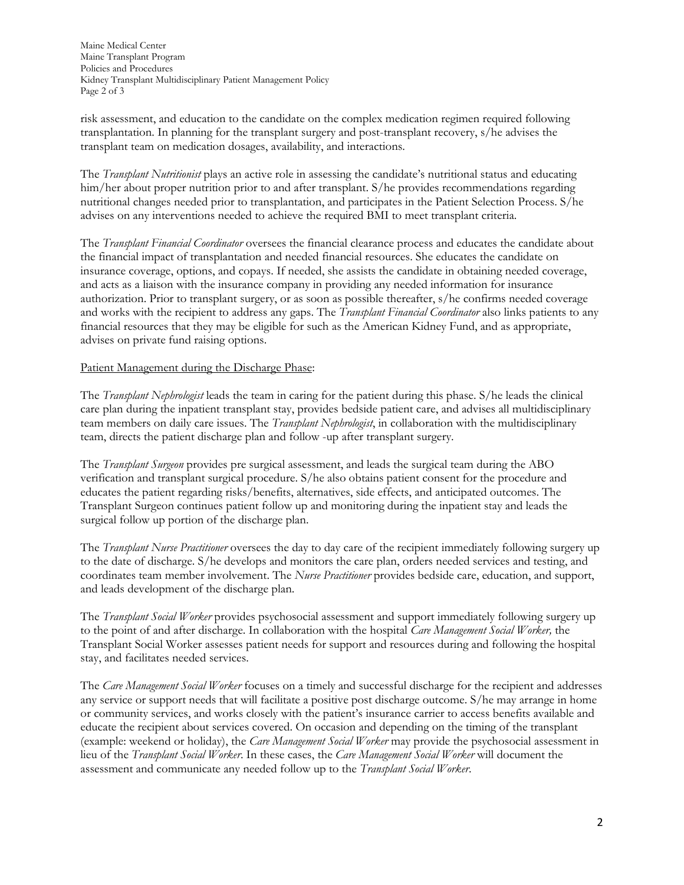Maine Medical Center Maine Transplant Program Policies and Procedures Kidney Transplant Multidisciplinary Patient Management Policy Page 2 of 3

risk assessment, and education to the candidate on the complex medication regimen required following transplantation. In planning for the transplant surgery and post-transplant recovery, s/he advises the transplant team on medication dosages, availability, and interactions.

The *Transplant Nutritionist* plays an active role in assessing the candidate's nutritional status and educating him/her about proper nutrition prior to and after transplant. S/he provides recommendations regarding nutritional changes needed prior to transplantation, and participates in the Patient Selection Process. S/he advises on any interventions needed to achieve the required BMI to meet transplant criteria.

The *Transplant Financial Coordinator* oversees the financial clearance process and educates the candidate about the financial impact of transplantation and needed financial resources. She educates the candidate on insurance coverage, options, and copays. If needed, she assists the candidate in obtaining needed coverage, and acts as a liaison with the insurance company in providing any needed information for insurance authorization. Prior to transplant surgery, or as soon as possible thereafter, s/he confirms needed coverage and works with the recipient to address any gaps. The *Transplant Financial Coordinator* also links patients to any financial resources that they may be eligible for such as the American Kidney Fund, and as appropriate, advises on private fund raising options.

## Patient Management during the Discharge Phase:

The *Transplant Nephrologist* leads the team in caring for the patient during this phase. S/he leads the clinical care plan during the inpatient transplant stay, provides bedside patient care, and advises all multidisciplinary team members on daily care issues. The *Transplant Nephrologist*, in collaboration with the multidisciplinary team, directs the patient discharge plan and follow -up after transplant surgery.

The *Transplant Surgeon* provides pre surgical assessment, and leads the surgical team during the ABO verification and transplant surgical procedure. S/he also obtains patient consent for the procedure and educates the patient regarding risks/benefits, alternatives, side effects, and anticipated outcomes. The Transplant Surgeon continues patient follow up and monitoring during the inpatient stay and leads the surgical follow up portion of the discharge plan.

The *Transplant Nurse Practitioner* oversees the day to day care of the recipient immediately following surgery up to the date of discharge. S/he develops and monitors the care plan, orders needed services and testing, and coordinates team member involvement. The *Nurse Practitioner* provides bedside care, education, and support, and leads development of the discharge plan.

The *Transplant Social Worker* provides psychosocial assessment and support immediately following surgery up to the point of and after discharge. In collaboration with the hospital *Care Management Social Worker,* the Transplant Social Worker assesses patient needs for support and resources during and following the hospital stay, and facilitates needed services.

The *Care Management Social Worker* focuses on a timely and successful discharge for the recipient and addresses any service or support needs that will facilitate a positive post discharge outcome. S/he may arrange in home or community services, and works closely with the patient's insurance carrier to access benefits available and educate the recipient about services covered. On occasion and depending on the timing of the transplant (example: weekend or holiday), the *Care Management Social Worker* may provide the psychosocial assessment in lieu of the *Transplant Social Worker*. In these cases, the *Care Management Social Worker* will document the assessment and communicate any needed follow up to the *Transplant Social Worker*.